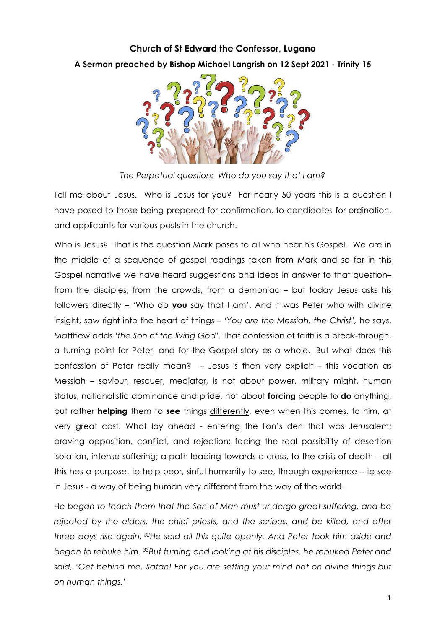## **Church of St Edward the Confessor, Lugano A Sermon preached by Bishop Michael Langrish on 12 Sept 2021 - Trinity 15**



*The Perpetual question: Who do you say that I am?*

Tell me about Jesus. Who is Jesus for you? For nearly 50 years this is a question I have posed to those being prepared for confirmation, to candidates for ordination, and applicants for various posts in the church.

Who is Jesus? That is the question Mark poses to all who hear his Gospel. We are in the middle of a sequence of gospel readings taken from Mark and so far in this Gospel narrative we have heard suggestions and ideas in answer to that question– from the disciples, from the crowds, from a demoniac – but today Jesus asks his followers directly – 'Who do **you** say that I am'. And it was Peter who with divine insight, saw right into the heart of things – *'You are the Messiah, the Christ',* he says. Matthew adds *'the Son of the living God'.* That confession of faith is a break-through, a turning point for Peter, and for the Gospel story as a whole. But what does this confession of Peter really mean? – Jesus is then very explicit – this vocation as Messiah – saviour, rescuer, mediator, is not about power, military might, human status, nationalistic dominance and pride, not about **forcing** people to **do** anything, but rather **helping** them to **see** things differently, even when this comes, to him, at very great cost. What lay ahead - entering the lion's den that was Jerusalem; braving opposition, conflict, and rejection; facing the real possibility of desertion isolation, intense suffering; a path leading towards a cross, to the crisis of death – all this has a purpose, to help poor, sinful humanity to see, through experience – to see in Jesus - a way of being human very different from the way of the world.

H*e began to teach them that the Son of Man must undergo great suffering, and be rejected by the elders, the chief priests, and the scribes, and be killed, and after three days rise again. 32He said all this quite openly. And Peter took him aside and began to rebuke him. 33But turning and looking at his disciples, he rebuked Peter and said, 'Get behind me, Satan! For you are setting your mind not on divine things but on human things.'*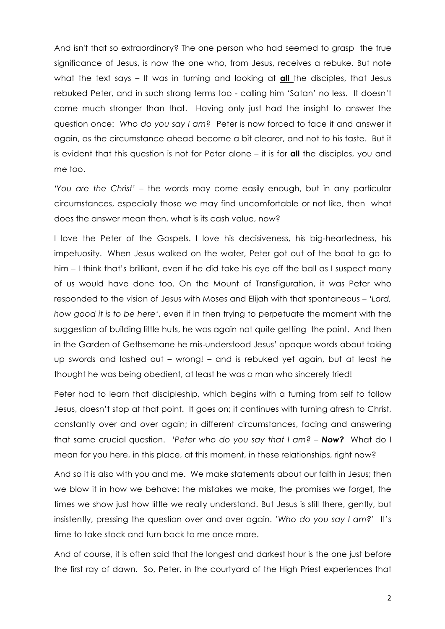And isn't that so extraordinary? The one person who had seemed to grasp the true significance of Jesus, is now the one who, from Jesus, receives a rebuke. But note what the text says – It was in turning and looking at **all** the disciples, that Jesus rebuked Peter, and in such strong terms too - calling him 'Satan' no less. It doesn't come much stronger than that. Having only just had the insight to answer the question once: *Who do you say I am?* Peter is now forced to face it and answer it again, as the circumstance ahead become a bit clearer, and not to his taste. But it is evident that this question is not for Peter alone – it is for **all** the disciples, you and me too.

*'You are the Christ'* – the words may come easily enough, but in any particular circumstances, especially those we may find uncomfortable or not like, then what does the answer mean then, what is its cash value, now?

I love the Peter of the Gospels. I love his decisiveness, his big-heartedness, his impetuosity. When Jesus walked on the water, Peter got out of the boat to go to him – I think that's brilliant, even if he did take his eye off the ball as I suspect many of us would have done too. On the Mount of Transfiguration, it was Peter who responded to the vision of Jesus with Moses and Elijah with that spontaneous – *'Lord, how good it is to be here'*, even if in then trying to perpetuate the moment with the suggestion of building little huts, he was again not quite getting the point. And then in the Garden of Gethsemane he mis-understood Jesus' opaque words about taking up swords and lashed out – wrong! – and is rebuked yet again, but at least he thought he was being obedient, at least he was a man who sincerely tried!

Peter had to learn that discipleship, which begins with a turning from self to follow Jesus, doesn't stop at that point. It goes on; it continues with turning afresh to Christ, constantly over and over again; in different circumstances, facing and answering that same crucial question. *'Peter who do you say that I am? – Now?* What do I mean for you here, in this place, at this moment, in these relationships, right now?

And so it is also with you and me. We make statements about our faith in Jesus; then we blow it in how we behave: the mistakes we make, the promises we forget, the times we show just how little we really understand. But Jesus is still there, gently, but insistently, pressing the question over and over again. *'Who do you say I am?*' It's time to take stock and turn back to me once more.

And of course, it is often said that the longest and darkest hour is the one just before the first ray of dawn. So, Peter, in the courtyard of the High Priest experiences that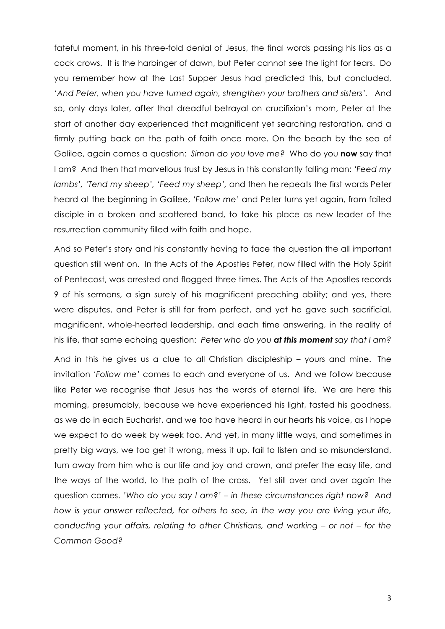fateful moment, in his three-fold denial of Jesus, the final words passing his lips as a cock crows. It is the harbinger of dawn, but Peter cannot see the light for tears. Do you remember how at the Last Supper Jesus had predicted this, but concluded, *'And Peter, when you have turned again, strengthen your brothers and sisters'.* And so, only days later, after that dreadful betrayal on crucifixion's morn, Peter at the start of another day experienced that magnificent yet searching restoration, and a firmly putting back on the path of faith once more. On the beach by the sea of Galilee, again comes a question: *Simon do you love me?* Who do you **now** say that I am? And then that marvellous trust by Jesus in this constantly falling man: *'Feed my lambs', 'Tend my sheep', 'Feed my sheep',* and then he repeats the first words Peter heard at the beginning in Galilee, *'Follow me'* and Peter turns yet again, from failed disciple in a broken and scattered band, to take his place as new leader of the resurrection community filled with faith and hope.

And so Peter's story and his constantly having to face the question the all important question still went on. In the Acts of the Apostles Peter, now filled with the Holy Spirit of Pentecost, was arrested and flogged three times. The Acts of the Apostles records 9 of his sermons, a sign surely of his magnificent preaching ability; and yes, there were disputes, and Peter is still far from perfect, and yet he gave such sacrificial, magnificent, whole-hearted leadership, and each time answering, in the reality of his life, that same echoing question: *Peter who do you at this moment say that I am?*

And in this he gives us a clue to all Christian discipleship – yours and mine. The invitation *'Follow me'* comes to each and everyone of us. And we follow because like Peter we recognise that Jesus has the words of eternal life. We are here this morning, presumably, because we have experienced his light, tasted his goodness, as we do in each Eucharist, and we too have heard in our hearts his voice, as I hope we expect to do week by week too. And yet, in many little ways, and sometimes in pretty big ways, we too get it wrong, mess it up, fail to listen and so misunderstand, turn away from him who is our life and joy and crown, and prefer the easy life, and the ways of the world, to the path of the cross. Yet still over and over again the question comes. *'Who do you say I am?' – in these circumstances right now? And how is your answer reflected, for others to see, in the way you are living your life, conducting your affairs, relating to other Christians, and working – or not – for the Common Good?*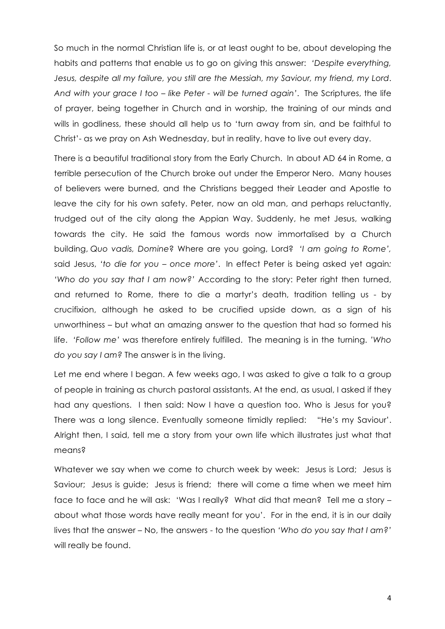So much in the normal Christian life is, or at least ought to be, about developing the habits and patterns that enable us to go on giving this answer: *'Despite everything, Jesus, despite all my failure, you still are the Messiah, my Saviour, my friend, my Lord*. *And with your grace I too – like Peter - will be turned again'*. The Scriptures, the life of prayer, being together in Church and in worship, the training of our minds and wills in godliness, these should all help us to 'turn away from sin, and be faithful to Christ'- as we pray on Ash Wednesday, but in reality, have to live out every day.

There is a beautiful traditional story from the Early Church. In about AD 64 in Rome, a terrible persecution of the Church broke out under the Emperor Nero. Many houses of believers were burned, and the Christians begged their Leader and Apostle to leave the city for his own safety. Peter, now an old man, and perhaps reluctantly, trudged out of the city along the Appian Way. Suddenly, he met Jesus, walking towards the city. He said the famous words now immortalised by a Church building, *Quo vadis, Domine*? Where are you going, Lord? *'I am going to Rome',* said Jesus, *'to die for you – once more'*. In effect Peter is being asked yet again*: 'Who do you say that I am now?'* According to the story: Peter right then turned, and returned to Rome, there to die a martyr's death, tradition telling us - by crucifixion, although he asked to be crucified upside down, as a sign of his unworthiness – but what an amazing answer to the question that had so formed his life. *'Follow me'* was therefore entirely fulfilled. The meaning is in the turning. *'Who do you say I am?* The answer is in the living.

Let me end where I began. A few weeks ago, I was asked to give a talk to a group of people in training as church pastoral assistants. At the end, as usual, I asked if they had any questions. I then said: Now I have a question too. Who is Jesus for you? There was a long silence. Eventually someone timidly replied: "He's my Saviour'. Alright then, I said, tell me a story from your own life which illustrates just what that means?

Whatever we say when we come to church week by week: Jesus is Lord; Jesus is Saviour; Jesus is guide; Jesus is friend; there will come a time when we meet him face to face and he will ask: 'Was I really? What did that mean? Tell me a story – about what those words have really meant for you'. For in the end, it is in our daily lives that the answer – No, the answers - to the question *'Who do you say that I am?'* will really be found.